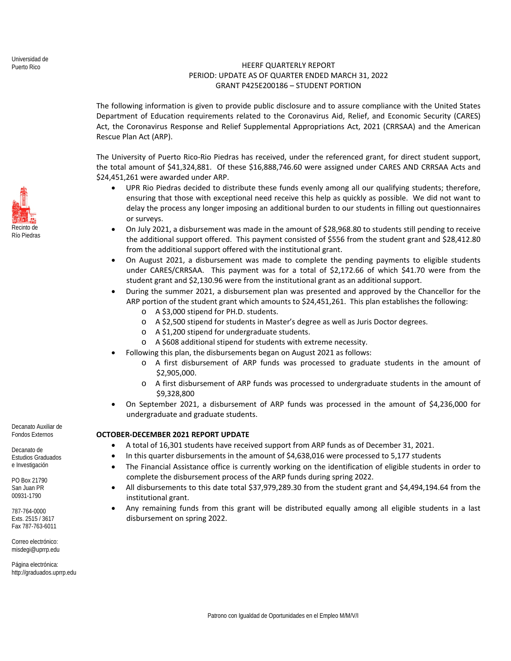## HEERF QUARTERLY REPORT PERIOD: UPDATE AS OF QUARTER ENDED MARCH 31, 2022 GRANT P425E200186 – STUDENT PORTION

The following information is given to provide public disclosure and to assure compliance with the United States Department of Education requirements related to the Coronavirus Aid, Relief, and Economic Security (CARES) Act, the Coronavirus Response and Relief Supplemental Appropriations Act, 2021 (CRRSAA) and the American Rescue Plan Act (ARP).

The University of Puerto Rico‐Rio Piedras has received, under the referenced grant, for direct student support, the total amount of \$41,324,881. Of these \$16,888,746.60 were assigned under CARES AND CRRSAA Acts and \$24,451,261 were awarded under ARP.

- UPR Rio Piedras decided to distribute these funds evenly among all our qualifying students; therefore, ensuring that those with exceptional need receive this help as quickly as possible. We did not want to delay the process any longer imposing an additional burden to our students in filling out questionnaires or surveys.
- On July 2021, a disbursement was made in the amount of \$28,968.80 to students still pending to receive the additional support offered. This payment consisted of \$556 from the student grant and \$28,412.80 from the additional support offered with the institutional grant.
- On August 2021, a disbursement was made to complete the pending payments to eligible students under CARES/CRRSAA. This payment was for a total of \$2,172.66 of which \$41.70 were from the student grant and \$2,130.96 were from the institutional grant as an additional support.
- During the summer 2021, a disbursement plan was presented and approved by the Chancellor for the ARP portion of the student grant which amounts to \$24,451,261. This plan establishes the following:
	- o A \$3,000 stipend for PH.D. students.
	- o A \$2,500 stipend for students in Master's degree as well as Juris Doctor degrees.
	- o A \$1,200 stipend for undergraduate students.
	- o A \$608 additional stipend for students with extreme necessity.
- Following this plan, the disbursements began on August 2021 as follows:
	- $\circ$  A first disbursement of ARP funds was processed to graduate students in the amount of \$2,905,000.
	- o A first disbursement of ARP funds was processed to undergraduate students in the amount of \$9,328,800
- On September 2021, a disbursement of ARP funds was processed in the amount of \$4,236,000 for undergraduate and graduate students.

## **OCTOBER‐DECEMBER 2021 REPORT UPDATE**

- A total of 16,301 students have received support from ARP funds as of December 31, 2021.
- In this quarter disbursements in the amount of \$4,638,016 were processed to 5,177 students
- The Financial Assistance office is currently working on the identification of eligible students in order to complete the disbursement process of the ARP funds during spring 2022.
- All disbursements to this date total \$37,979,289.30 from the student grant and \$4,494,194.64 from the institutional grant.
- Any remaining funds from this grant will be distributed equally among all eligible students in a last disbursement on spring 2022.

Decanato Auxiliar de Fondos Externos

Decanato de Estudios Graduados e Investigación

PO Box 21790 San Juan PR 00931-1790

787-764-0000 Exts. 2515 / 3617 Fax 787-763-6011

Correo electrónico: misdegi@uprrp.edu

Página electrónica: http://graduados.uprrp.edu